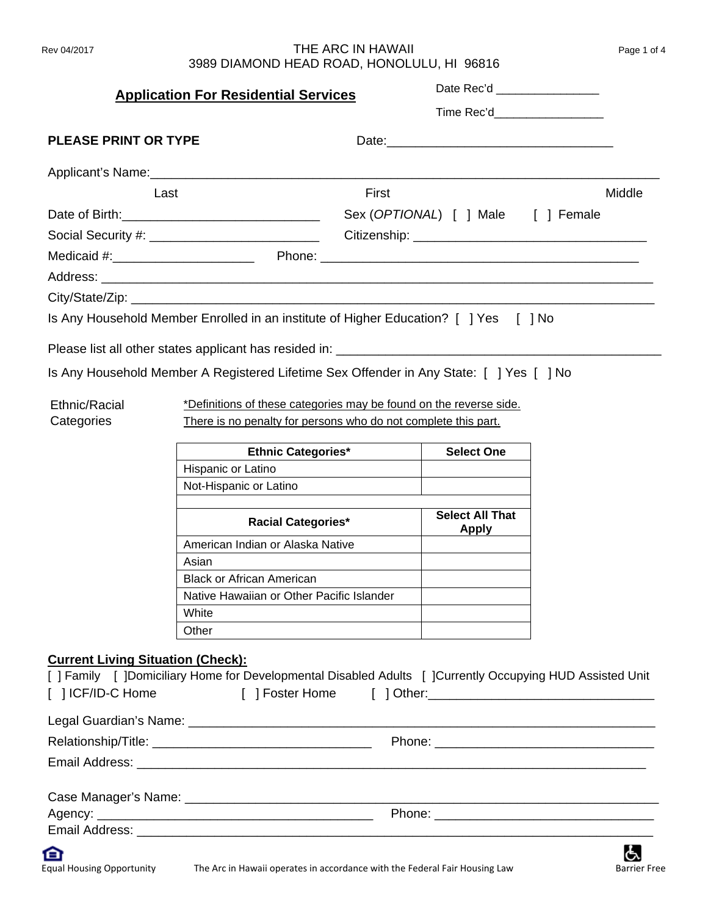## Rev 04/2017 **THE ARC IN HAWAII** 3989 DIAMOND HEAD ROAD, HONOLULU, HI 96816

| Page 1 of 4 |  |
|-------------|--|
|-------------|--|

|                                                               | <b>Application For Residential Services</b>                                                                                                                                                                                    |       | Date Rec'd __________________      |        |
|---------------------------------------------------------------|--------------------------------------------------------------------------------------------------------------------------------------------------------------------------------------------------------------------------------|-------|------------------------------------|--------|
|                                                               |                                                                                                                                                                                                                                |       | Time Rec'd                         |        |
| <b>PLEASE PRINT OR TYPE</b>                                   |                                                                                                                                                                                                                                |       |                                    |        |
|                                                               |                                                                                                                                                                                                                                |       |                                    |        |
| Last                                                          |                                                                                                                                                                                                                                | First |                                    | Middle |
|                                                               |                                                                                                                                                                                                                                |       | Sex (OPTIONAL) [ ] Male [ ] Female |        |
|                                                               | Social Security #: ______________________________                                                                                                                                                                              |       |                                    |        |
|                                                               |                                                                                                                                                                                                                                |       |                                    |        |
|                                                               |                                                                                                                                                                                                                                |       |                                    |        |
|                                                               |                                                                                                                                                                                                                                |       |                                    |        |
|                                                               | Is Any Household Member Enrolled in an institute of Higher Education? [ ] Yes [ ] No                                                                                                                                           |       |                                    |        |
|                                                               |                                                                                                                                                                                                                                |       |                                    |        |
|                                                               |                                                                                                                                                                                                                                |       |                                    |        |
|                                                               | Is Any Household Member A Registered Lifetime Sex Offender in Any State: [ ] Yes [ ] No                                                                                                                                        |       |                                    |        |
|                                                               |                                                                                                                                                                                                                                |       |                                    |        |
| Ethnic/Racial                                                 | *Definitions of these categories may be found on the reverse side.                                                                                                                                                             |       |                                    |        |
| Categories                                                    | There is no penalty for persons who do not complete this part.                                                                                                                                                                 |       |                                    |        |
|                                                               | <b>Ethnic Categories*</b>                                                                                                                                                                                                      |       | <b>Select One</b>                  |        |
|                                                               | Hispanic or Latino                                                                                                                                                                                                             |       |                                    |        |
|                                                               | Not-Hispanic or Latino                                                                                                                                                                                                         |       |                                    |        |
|                                                               | <b>Racial Categories*</b>                                                                                                                                                                                                      |       | <b>Select All That</b><br>Apply    |        |
|                                                               | American Indian or Alaska Native                                                                                                                                                                                               |       |                                    |        |
|                                                               | Asian                                                                                                                                                                                                                          |       |                                    |        |
|                                                               | <b>Black or African American</b>                                                                                                                                                                                               |       |                                    |        |
|                                                               | Native Hawaiian or Other Pacific Islander<br>White                                                                                                                                                                             |       |                                    |        |
|                                                               | Other                                                                                                                                                                                                                          |       |                                    |        |
| <b>Current Living Situation (Check):</b><br>[ ] ICF/ID-C Home | [ ] Family [ ]Domiciliary Home for Developmental Disabled Adults [ ]Currently Occupying HUD Assisted Unit                                                                                                                      |       |                                    |        |
|                                                               |                                                                                                                                                                                                                                |       |                                    |        |
|                                                               |                                                                                                                                                                                                                                |       |                                    |        |
|                                                               |                                                                                                                                                                                                                                |       |                                    |        |
|                                                               |                                                                                                                                                                                                                                |       |                                    |        |
|                                                               |                                                                                                                                                                                                                                |       |                                    |        |
|                                                               |                                                                                                                                                                                                                                |       |                                    |        |
|                                                               | the contract of the contract of the contract of the contract of the contract of the contract of the contract of the contract of the contract of the contract of the contract of the contract of the contract of the contract o |       |                                    |        |

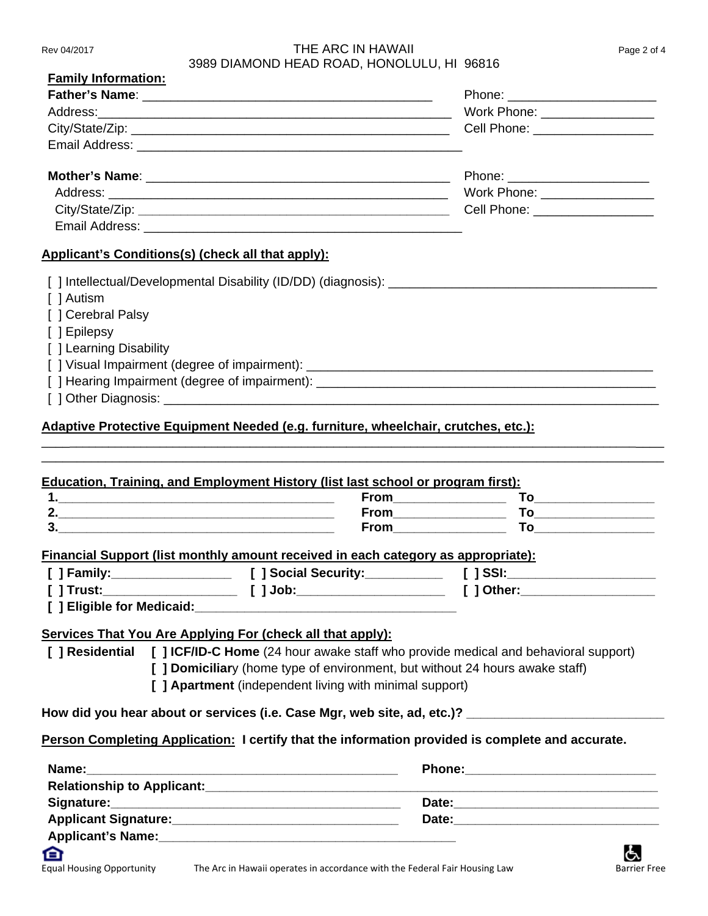#### Rev 04/2017 **THE ARC IN HAWAII** Page 2 of 4 3989 DIAMOND HEAD ROAD, HONOLULU, HI 96816

|                                                                                                                                                                                                                                                                                                                                                                             | Work Phone: _________________                                                                                                                                                                                                                                                                                                                                         |
|-----------------------------------------------------------------------------------------------------------------------------------------------------------------------------------------------------------------------------------------------------------------------------------------------------------------------------------------------------------------------------|-----------------------------------------------------------------------------------------------------------------------------------------------------------------------------------------------------------------------------------------------------------------------------------------------------------------------------------------------------------------------|
|                                                                                                                                                                                                                                                                                                                                                                             |                                                                                                                                                                                                                                                                                                                                                                       |
|                                                                                                                                                                                                                                                                                                                                                                             |                                                                                                                                                                                                                                                                                                                                                                       |
|                                                                                                                                                                                                                                                                                                                                                                             | Phone: _________________________                                                                                                                                                                                                                                                                                                                                      |
|                                                                                                                                                                                                                                                                                                                                                                             | Work Phone: ___________________                                                                                                                                                                                                                                                                                                                                       |
|                                                                                                                                                                                                                                                                                                                                                                             |                                                                                                                                                                                                                                                                                                                                                                       |
|                                                                                                                                                                                                                                                                                                                                                                             |                                                                                                                                                                                                                                                                                                                                                                       |
| <u><b>Applicant's Conditions(s) (check all that apply):</b></u>                                                                                                                                                                                                                                                                                                             |                                                                                                                                                                                                                                                                                                                                                                       |
|                                                                                                                                                                                                                                                                                                                                                                             |                                                                                                                                                                                                                                                                                                                                                                       |
| [ ] Autism                                                                                                                                                                                                                                                                                                                                                                  |                                                                                                                                                                                                                                                                                                                                                                       |
| [] Cerebral Palsy                                                                                                                                                                                                                                                                                                                                                           |                                                                                                                                                                                                                                                                                                                                                                       |
| [ ] Epilepsy                                                                                                                                                                                                                                                                                                                                                                |                                                                                                                                                                                                                                                                                                                                                                       |
| [ ] Learning Disability                                                                                                                                                                                                                                                                                                                                                     |                                                                                                                                                                                                                                                                                                                                                                       |
|                                                                                                                                                                                                                                                                                                                                                                             |                                                                                                                                                                                                                                                                                                                                                                       |
|                                                                                                                                                                                                                                                                                                                                                                             |                                                                                                                                                                                                                                                                                                                                                                       |
|                                                                                                                                                                                                                                                                                                                                                                             |                                                                                                                                                                                                                                                                                                                                                                       |
|                                                                                                                                                                                                                                                                                                                                                                             |                                                                                                                                                                                                                                                                                                                                                                       |
| Education, Training, and Employment History (list last school or program first):                                                                                                                                                                                                                                                                                            | $\begin{picture}(180,10) \put(0,0){\line(1,0){10}} \put(15,0){\line(1,0){10}} \put(15,0){\line(1,0){10}} \put(15,0){\line(1,0){10}} \put(15,0){\line(1,0){10}} \put(15,0){\line(1,0){10}} \put(15,0){\line(1,0){10}} \put(15,0){\line(1,0){10}} \put(15,0){\line(1,0){10}} \put(15,0){\line(1,0){10}} \put(15,0){\line(1,0){10}} \put(15,0){\line($<br><b>From To</b> |
|                                                                                                                                                                                                                                                                                                                                                                             |                                                                                                                                                                                                                                                                                                                                                                       |
|                                                                                                                                                                                                                                                                                                                                                                             |                                                                                                                                                                                                                                                                                                                                                                       |
|                                                                                                                                                                                                                                                                                                                                                                             |                                                                                                                                                                                                                                                                                                                                                                       |
|                                                                                                                                                                                                                                                                                                                                                                             |                                                                                                                                                                                                                                                                                                                                                                       |
|                                                                                                                                                                                                                                                                                                                                                                             |                                                                                                                                                                                                                                                                                                                                                                       |
| Financial Support (list monthly amount received in each category as appropriate):                                                                                                                                                                                                                                                                                           |                                                                                                                                                                                                                                                                                                                                                                       |
| [ ] Domiciliary (home type of environment, but without 24 hours awake staff)<br>[ ] Apartment (independent living with minimal support)                                                                                                                                                                                                                                     |                                                                                                                                                                                                                                                                                                                                                                       |
|                                                                                                                                                                                                                                                                                                                                                                             |                                                                                                                                                                                                                                                                                                                                                                       |
|                                                                                                                                                                                                                                                                                                                                                                             |                                                                                                                                                                                                                                                                                                                                                                       |
|                                                                                                                                                                                                                                                                                                                                                                             |                                                                                                                                                                                                                                                                                                                                                                       |
|                                                                                                                                                                                                                                                                                                                                                                             |                                                                                                                                                                                                                                                                                                                                                                       |
| Services That You Are Applying For (check all that apply):<br>[ ] Residential [ ] ICF/ID-C Home (24 hour awake staff who provide medical and behavioral support)<br>How did you hear about or services (i.e. Case Mgr, web site, ad, etc.)? ___________________________<br>Person Completing Application: I certify that the information provided is complete and accurate. |                                                                                                                                                                                                                                                                                                                                                                       |
|                                                                                                                                                                                                                                                                                                                                                                             |                                                                                                                                                                                                                                                                                                                                                                       |
|                                                                                                                                                                                                                                                                                                                                                                             |                                                                                                                                                                                                                                                                                                                                                                       |

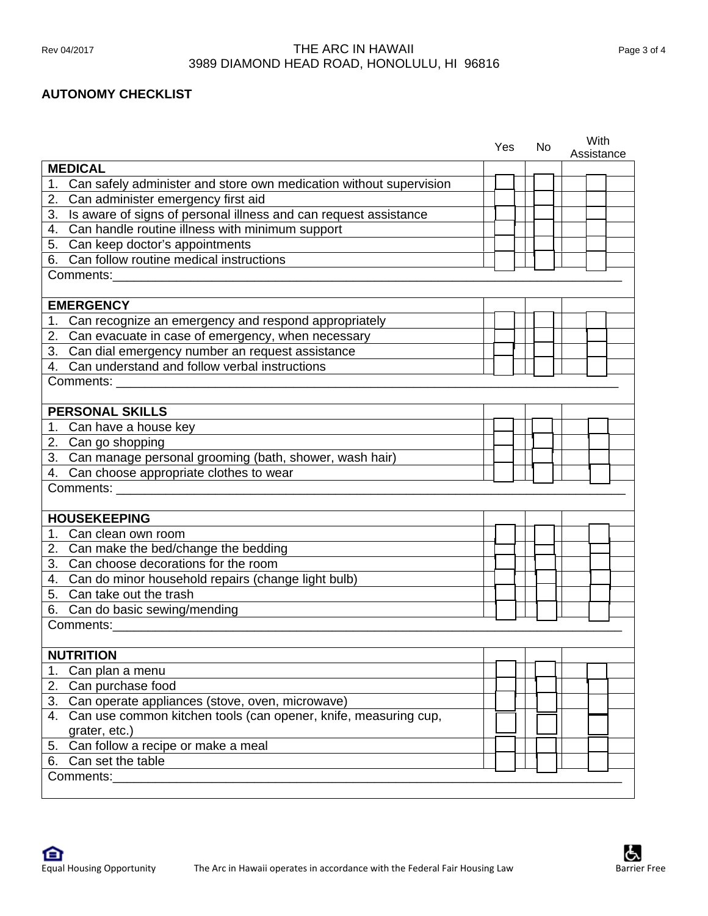# Rev 04/2017 **THE ARC IN HAWAII** Page 3 of 4 3989 DIAMOND HEAD ROAD, HONOLULU, HI 96816

## **AUTONOMY CHECKLIST**

|    |                                                                     | Yes | No. | With<br>Assistance |
|----|---------------------------------------------------------------------|-----|-----|--------------------|
|    | <b>MEDICAL</b>                                                      |     |     |                    |
| 1. | Can safely administer and store own medication without supervision  |     |     |                    |
|    | 2. Can administer emergency first aid                               |     |     |                    |
|    | 3. Is aware of signs of personal illness and can request assistance |     |     |                    |
|    | 4. Can handle routine illness with minimum support                  |     |     |                    |
|    | 5. Can keep doctor's appointments                                   |     |     |                    |
|    | 6. Can follow routine medical instructions                          |     |     |                    |
|    | Comments:                                                           |     |     |                    |
|    |                                                                     |     |     |                    |
|    | <b>EMERGENCY</b>                                                    |     |     |                    |
|    | 1. Can recognize an emergency and respond appropriately             |     |     |                    |
|    | 2. Can evacuate in case of emergency, when necessary                |     |     |                    |
|    | 3. Can dial emergency number an request assistance                  |     |     |                    |
|    | 4. Can understand and follow verbal instructions                    |     |     |                    |
|    | Comments: _____                                                     |     |     |                    |
|    |                                                                     |     |     |                    |
|    | <b>PERSONAL SKILLS</b>                                              |     |     |                    |
|    | 1. Can have a house key                                             |     |     |                    |
|    | 2. Can go shopping                                                  |     |     |                    |
|    | 3. Can manage personal grooming (bath, shower, wash hair)           |     |     |                    |
|    | 4. Can choose appropriate clothes to wear                           |     |     |                    |
|    | Comments: <b>Example</b>                                            |     |     |                    |
|    |                                                                     |     |     |                    |
|    | <b>HOUSEKEEPING</b>                                                 |     |     |                    |
|    | 1. Can clean own room                                               |     |     |                    |
|    | 2. Can make the bed/change the bedding                              |     |     |                    |
|    | 3. Can choose decorations for the room                              |     |     |                    |
|    | 4. Can do minor household repairs (change light bulb)               |     |     |                    |
|    | 5. Can take out the trash                                           |     |     |                    |
|    | 6. Can do basic sewing/mending                                      |     |     |                    |
|    | Comments:                                                           |     |     |                    |
|    |                                                                     |     |     |                    |
|    | <b>NUTRITION</b>                                                    |     |     |                    |
| 1. | Can plan a menu                                                     |     |     |                    |
|    | 2. Can purchase food                                                |     |     |                    |
|    | 3. Can operate appliances (stove, oven, microwave)                  |     |     |                    |
|    | 4. Can use common kitchen tools (can opener, knife, measuring cup,  |     |     |                    |
|    | grater, etc.)                                                       |     |     |                    |
|    | 5. Can follow a recipe or make a meal                               |     |     |                    |
|    | 6. Can set the table                                                |     |     |                    |
|    | Comments:                                                           |     |     |                    |
|    |                                                                     |     |     |                    |

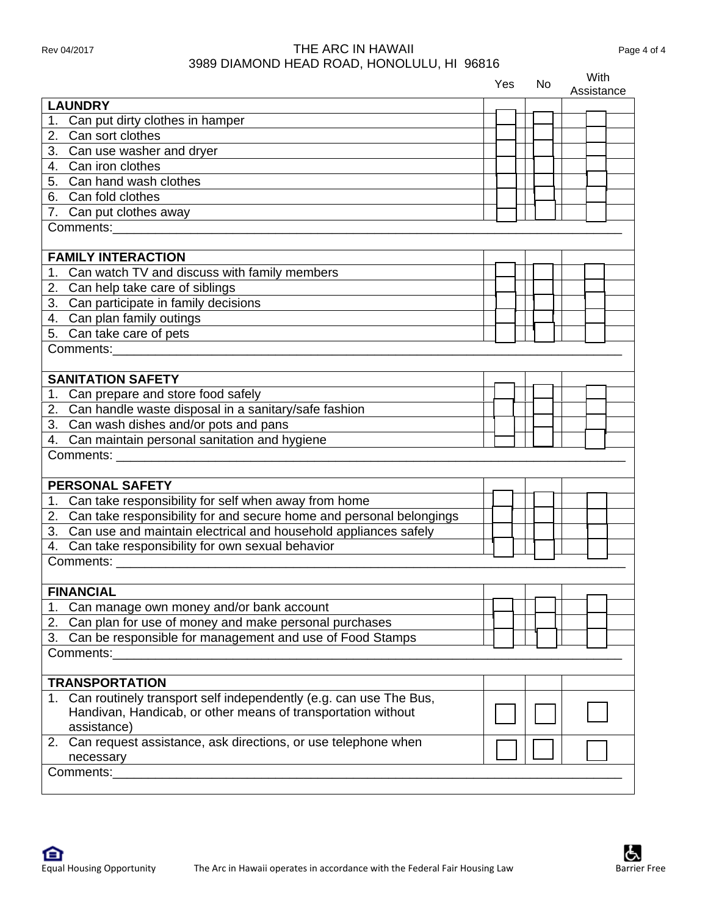# Rev 04/2017 **THE ARC IN HAWAII** Page 4 of 4 3989 DIAMOND HEAD ROAD, HONOLULU, HI 96816

|                                                                        | Yes | No. | With<br>Assistance |
|------------------------------------------------------------------------|-----|-----|--------------------|
| <b>LAUNDRY</b>                                                         |     |     |                    |
| 1. Can put dirty clothes in hamper                                     |     |     |                    |
| 2. Can sort clothes                                                    |     |     |                    |
| 3. Can use washer and dryer                                            |     |     |                    |
| 4. Can iron clothes                                                    |     |     |                    |
| 5. Can hand wash clothes                                               |     |     |                    |
| 6. Can fold clothes                                                    |     |     |                    |
| 7. Can put clothes away                                                |     |     |                    |
| Comments: <b>Example</b>                                               |     |     |                    |
|                                                                        |     |     |                    |
| <b>FAMILY INTERACTION</b>                                              |     |     |                    |
| 1. Can watch TV and discuss with family members                        |     |     |                    |
| 2. Can help take care of siblings                                      |     |     |                    |
| 3. Can participate in family decisions                                 |     |     |                    |
| 4. Can plan family outings                                             |     |     |                    |
|                                                                        |     |     |                    |
| 5. Can take care of pets                                               |     |     |                    |
| Comments:                                                              |     |     |                    |
| <b>SANITATION SAFETY</b>                                               |     |     |                    |
| Can prepare and store food safely                                      |     |     |                    |
| 2. Can handle waste disposal in a sanitary/safe fashion                |     |     |                    |
|                                                                        |     |     |                    |
| 3. Can wash dishes and/or pots and pans                                |     |     |                    |
| 4. Can maintain personal sanitation and hygiene                        |     |     |                    |
| Comments: <b>Example</b>                                               |     |     |                    |
| <b>PERSONAL SAFETY</b>                                                 |     |     |                    |
| 1. Can take responsibility for self when away from home                |     |     |                    |
| 2. Can take responsibility for and secure home and personal belongings |     |     |                    |
| 3. Can use and maintain electrical and household appliances safely     |     |     |                    |
| 4. Can take responsibility for own sexual behavior                     |     |     |                    |
|                                                                        |     |     |                    |
| Comments:                                                              |     |     |                    |
| <b>FINANCIAL</b>                                                       |     |     |                    |
| 1. Can manage own money and/or bank account                            |     |     |                    |
| 2. Can plan for use of money and make personal purchases               |     |     |                    |
| 3. Can be responsible for management and use of Food Stamps            |     |     |                    |
| Comments:                                                              |     |     |                    |
|                                                                        |     |     |                    |
| <b>TRANSPORTATION</b>                                                  |     |     |                    |
| 1. Can routinely transport self independently (e.g. can use The Bus,   |     |     |                    |
| Handivan, Handicab, or other means of transportation without           |     |     |                    |
| assistance)                                                            |     |     |                    |
| 2. Can request assistance, ask directions, or use telephone when       |     |     |                    |
| necessary                                                              |     |     |                    |
| Comments:                                                              |     |     |                    |
|                                                                        |     |     |                    |